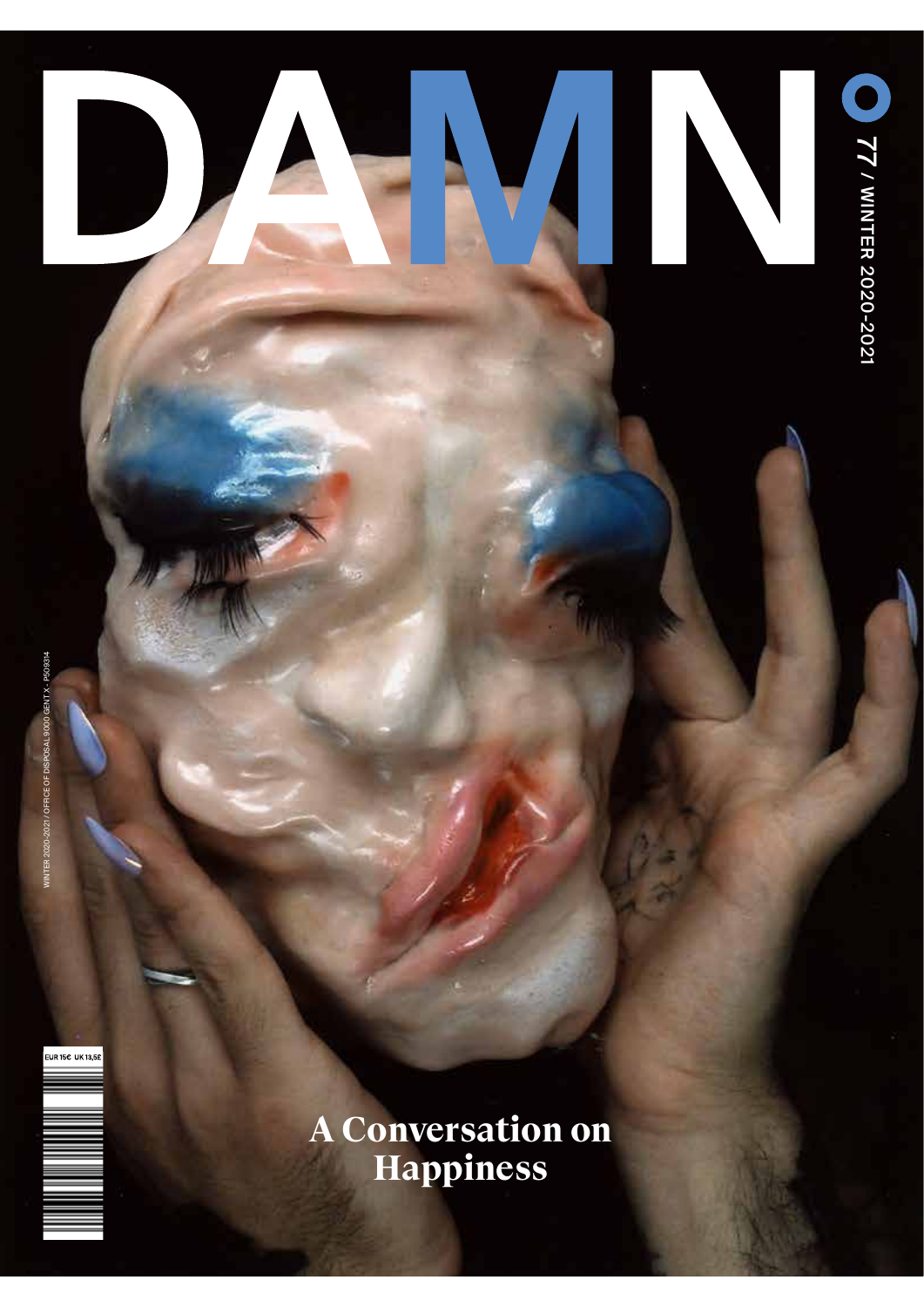



## **A Conversation on Happiness**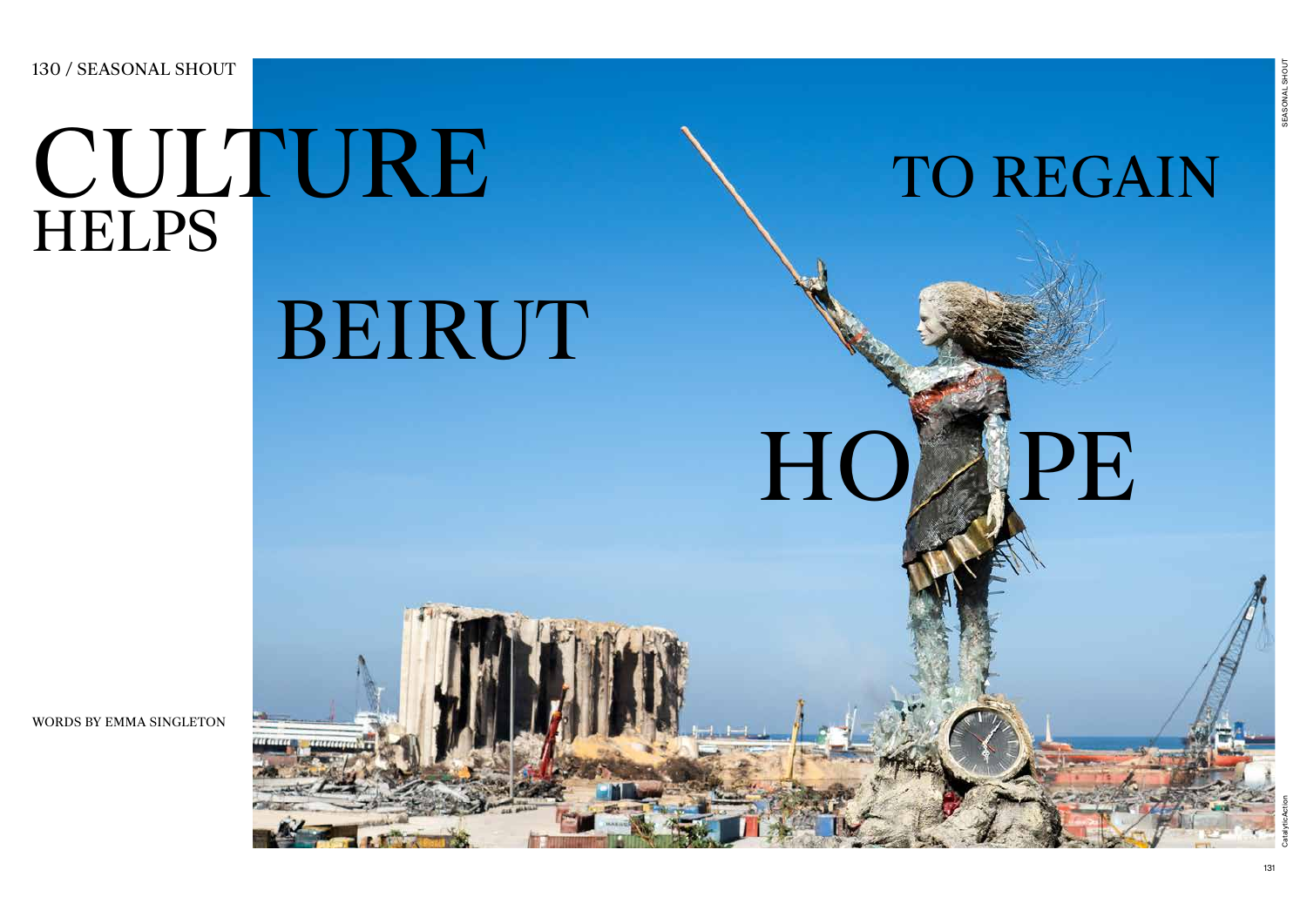## 131

## CULTURE HELPS

BEIRUT

130 / SEASONAL SHOUT

WORDS BY EMMA SINGLETON





CatalyticA

"ion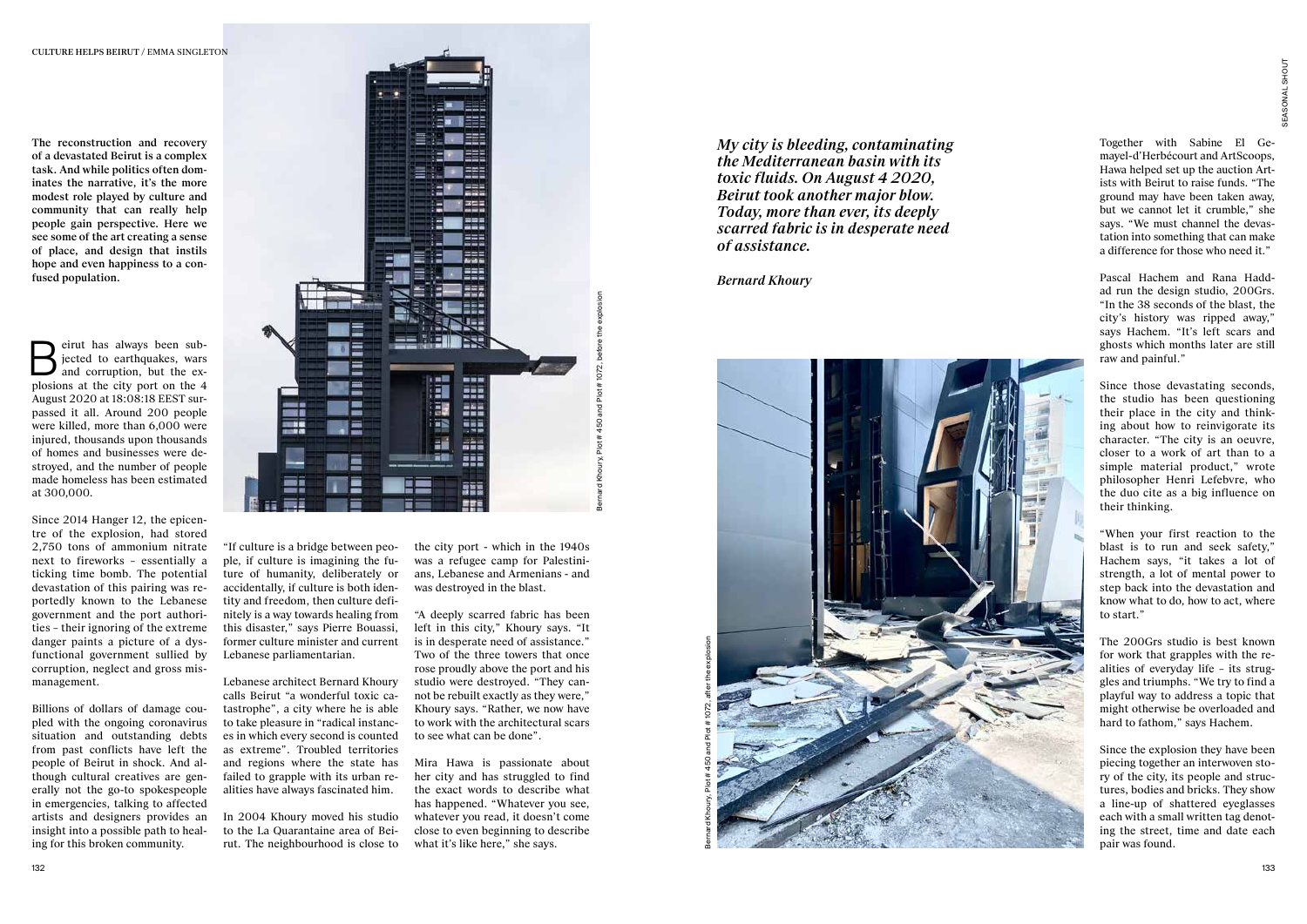

The reconstruction and recovery of a devastated Beirut is a complex task. And while politics often dominates the narrative, it's the more modest role played by culture and community that can really help people gain perspective. Here we see some of the art creating a sense of place, and design that instils hope and even happiness to a confused population.

eirut has always been sub-<br>jected to earthquakes, wars<br>and corruption, but the explosions at the city port on the 4 August 2020 at 18:08:18 EEST surpassed it all. Around 200 people were killed, more than 6,000 were injured, thousands upon thousands of homes and businesses were destroyed, and the number of people made homeless has been estimated at 300,000.

Since 2014 Hanger 12, the epicentre of the explosion, had stored 2,750 tons of ammonium nitrate next to fireworks – essentially a ticking time bomb. The potential devastation of this pairing was reportedly known to the Lebanese government and the port authorities – their ignoring of the extreme danger paints a picture of a dysfunctional government sullied by corruption, neglect and gross mismanagement.



Billions of dollars of damage coupled with the ongoing coronavirus situation and outstanding debts from past conflicts have left the people of Beirut in shock. And although cultural creatives are generally not the go-to spokespeople in emergencies, talking to affected artists and designers provides an insight into a possible path to healing for this broken community.

"If culture is a bridge between people, if culture is imagining the future of humanity, deliberately or accidentally, if culture is both identity and freedom, then culture definitely is a way towards healing from this disaster," says Pierre Bouassi, former culture minister and current Lebanese parliamentarian.

Lebanese architect Bernard Khoury calls Beirut "a wonderful toxic catastrophe", a city where he is able to take pleasure in "radical instances in which every second is counted as extreme". Troubled territories and regions where the state has failed to grapple with its urban realities have always fascinated him.

In 2004 Khoury moved his studio to the La Quarantaine area of Beirut. The neighbourhood is close to *My city is bleeding, contaminating the Mediterranean basin with its toxic fluids. On August 4 2020, Beirut took another major blow. Today, more than ever, its deeply scarred fabric is in desperate need of assistance.*

*Bernard Khoury*

the city port - which in the 1940s was a refugee camp for Palestinians, Lebanese and Armenians - and was destroyed in the blast.

"A deeply scarred fabric has been left in this city," Khoury says. "It is in desperate need of assistance." Two of the three towers that once rose proudly above the port and his studio were destroyed. "They cannot be rebuilt exactly as they were," Khoury says. "Rather, we now have to work with the architectural scars to see what can be done".

Mira Hawa is passionate about her city and has struggled to find the exact words to describe what has happened. "Whatever you see, whatever you read, it doesn't come close to even beginning to describe what it's like here," she says.

Together with Sabine El Gemayel-d'Herbécourt and ArtScoops, Hawa helped set up the auction Artists with Beirut to raise funds. "The ground may have been taken away, but we cannot let it crumble," she says. "We must channel the devastation into something that can make a difference for those who need it."

Pascal Hachem and Rana Haddad run the design studio, 200Grs. "In the 38 seconds of the blast, the city's history was ripped away," says Hachem. "It's left scars and ghosts which months later are still raw and painful."

Since those devastating seconds, the studio has been questioning their place in the city and thinking about how to reinvigorate its character. "The city is an oeuvre, closer to a work of art than to a simple material product," wrote philosopher Henri Lefebvre, who the duo cite as a big influence on their thinking.

"When your first reaction to the blast is to run and seek safety," Hachem says, "it takes a lot of strength, a lot of mental power to step back into the devastation and know what to do, how to act, where to start."

The 200Grs studio is best known for work that grapples with the realities of everyday life – its struggles and triumphs. "We try to find a playful way to address a topic that might otherwise be overloaded and hard to fathom," says Hachem.

Since the explosion they have been piecing together an interwoven story of the city, its people and structures, bodies and bricks. They show a line-up of shattered eyeglasses each with a small written tag denoting the street, time and date each pair was found.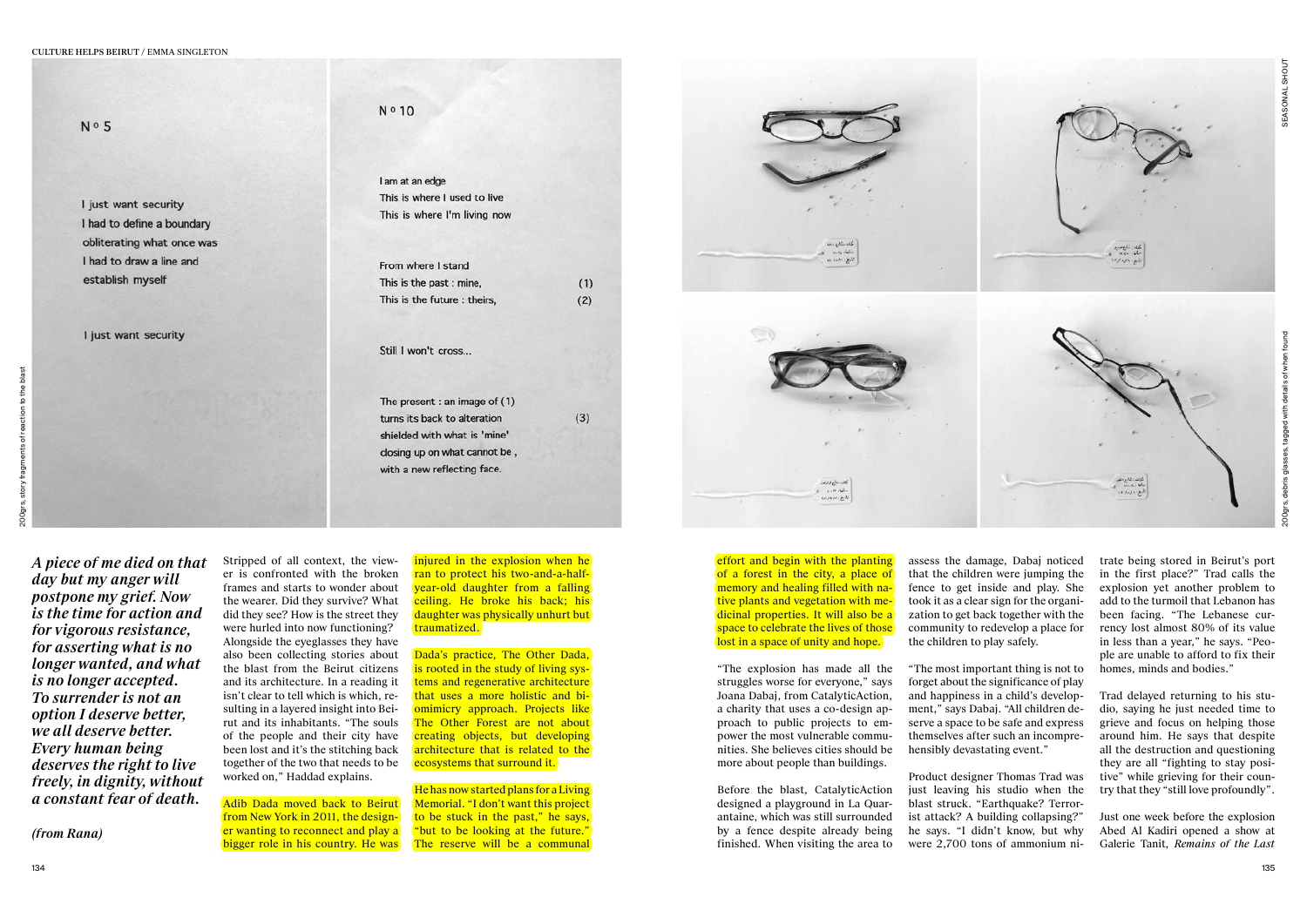N º 10  $N<sub>0</sub>5$ I am at an edge This is where I used to live I just want security I had to define a boundary obliterating what once was I had to draw a line and establish myself I just want security Still I won't cross... The present : an image of (1) turns its back to alteration shielded with what is 'mine' with a new reflecting face.

This is where I'm living now

| From where I stand          |     |
|-----------------------------|-----|
| This is the past : mine,    | (1) |
| This is the future: theirs, | (2) |

closing up on what cannot be,

 $(3)$ 



Stripped of all context, the viewer is confronted with the broken

Adib Dada moved back to Beirut from New York in 2011, the designer wanting to reconnect and play a bigger role in his country. He was

frames and starts to wonder about the wearer. Did they survive? What did they see? How is the street they were hurled into now functioning? Alongside the eyeglasses they have also been collecting stories about the blast from the Beirut citizens and its architecture. In a reading it isn't clear to tell which is which, resulting in a layered insight into Beirut and its inhabitants. "The souls of the people and their city have been lost and it's the stitching back together of the two that needs to be worked on," Haddad explains.

injured in the explosion when he ran to protect his two-and-a-halfyear-old daughter from a falling ceiling. He broke his back; his daughter was physically unhurt but traumatized.

Dada's practice. The Other Dada. is rooted in the study of living systems and regenerative architecture that uses a more holistic and biomimicry approach. Projects like The Other Forest are not about creating objects, but developing architecture that is related to the ecosystems that surround it.

He has now started plans for a Living Memorial. "I don't want this project to be stuck in the past," he says, "but to be looking at the future." The reserve will be a communal

5

effort and begin with the planting of a forest in the city, a place of memory and healing filled with native plants and vegetation with medicinal properties. It will also be a space to celebrate the lives of those lost in a space of unity and hope.

*A piece of me died on that day but my anger will postpone my grief. Now is the time for action and for vigorous resistance, for asserting what is no longer wanted, and what is no longer accepted. To surrender is not an option I deserve better, we all deserve better. Every human being deserves the right to live freely, in dignity, without a constant fear of death.*

*(from Rana)*

"The explosion has made all the struggles worse for everyone," says Joana Dabaj, from CatalyticAction, a charity that uses a co-design approach to public projects to empower the most vulnerable communities. She believes cities should be more about people than buildings.

Before the blast, CatalyticAction designed a playground in La Quarantaine, which was still surrounded by a fence despite already being finished. When visiting the area to assess the damage, Dabaj noticed that the children were jumping the fence to get inside and play. She took it as a clear sign for the organization to get back together with the community to redevelop a place for the children to play safely.

"The most important thing is not to forget about the significance of play and happiness in a child's development," says Dabaj. "All children deserve a space to be safe and express themselves after such an incomprehensibly devastating event."

Product designer Thomas Trad was just leaving his studio when the blast struck. "Earthquake? Terrorist attack? A building collapsing?" he says. "I didn't know, but why were 2,700 tons of ammonium nitrate being stored in Beirut's port in the first place?" Trad calls the explosion yet another problem to add to the turmoil that Lebanon has been facing. "The Lebanese cur rency lost almost 80% of its value in less than a year," he says. "Peo ple are unable to afford to fix their homes, minds and bodies." Trad delayed returning to his stu-

dio, saying he just needed time to grieve and focus on helping those around him. He says that despite all the destruction and questioning they are all "fighting to stay posi tive" while grieving for their coun try that they "still love profoundly".

Just one week before the explosion Abed Al Kadiri opened a show at Galerie Tanit, *Remains of the Last*